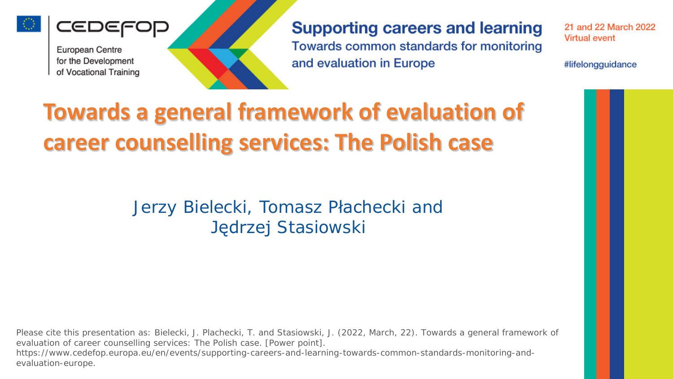

IEDEFOP



**Supporting careers and learning** Towards common standards for monitoring and evaluation in Europe

21 and 22 March 2022 **Virtual event** 

#lifelongguidance

# **Towards a general framework of evaluation of career counselling services: The Polish case**

Jerzy Bielecki, Tomasz Płachecki and Jędrzej Stasiowski

Please cite this presentation as: Bielecki, J. Plachecki, T. and Stasiowski, J. (2022, March, 22). Towards a general framework of evaluation of career counselling services: The Polish case. [Power point]. https://www.cedefop.europa.eu/en/events/supporting-careers-and-learning-towards-common-standards-monitoring-andevaluation-europe.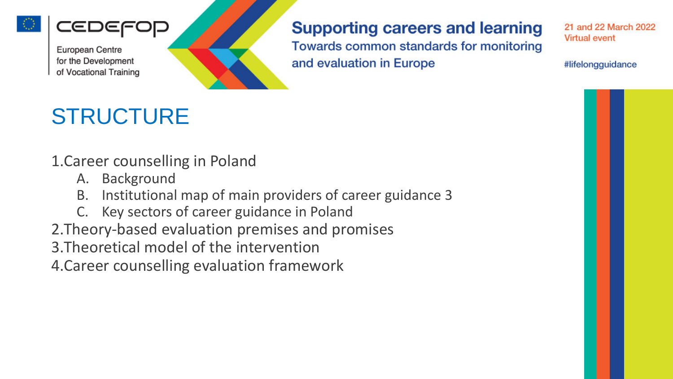

ŒΙ

#### **Supporting careers and learning**

Towards common standards for monitoring and evaluation in Europe

21 and 22 March 2022 **Virtual event** 

#lifelongguidance

# **STRUCTURE**

1.Career counselling in Poland

- A. Background
- B. Institutional map of main providers of career guidance 3
- C. Key sectors of career guidance in Poland
- 2.Theory-based evaluation premises and promises
- 3.Theoretical model of the intervention

4.Career counselling evaluation framework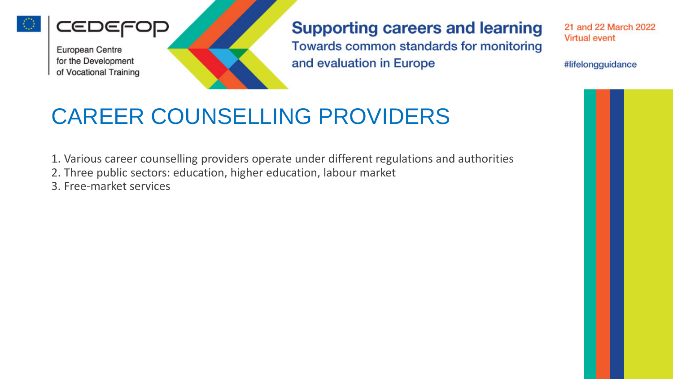

IEDEF

**Supporting careers and learning** Towards common standards for monitoring and evaluation in Europe

21 and 22 March 2022 **Virtual event** 

#lifelongguidance

# CAREER COUNSELLING PROVIDERS

- 1. Various career counselling providers operate under different regulations and authorities
- 2. Three public sectors: education, higher education, labour market
- 3. Free-market services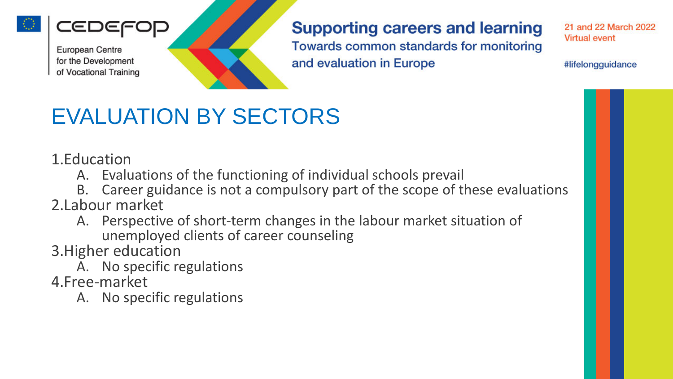

ŒΙ

#### **Supporting careers and learning** Towards common standards for monitoring and evaluation in Europe

21 and 22 March 2022 **Virtual event** 

#lifelongguidance

### EVALUATION BY SECTORS

1.Education

- A. Evaluations of the functioning of individual schools prevail
- B. Career guidance is not a compulsory part of the scope of these evaluations 2.Labour market
	- A. Perspective of short-term changes in the labour market situation of unemployed clients of career counseling

3.Higher education

A. No specific regulations

4.Free-market

A. No specific regulations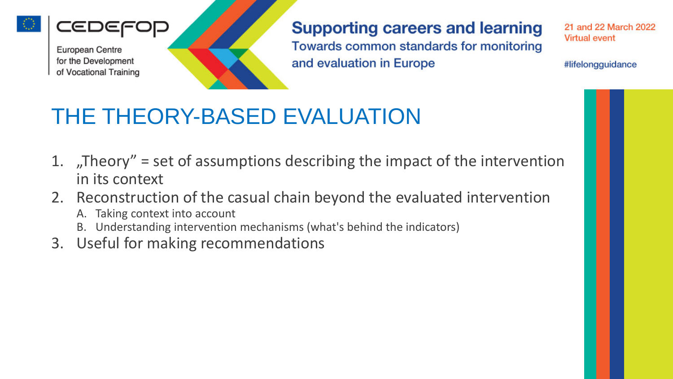

ŒΙ

**Supporting careers and learning** Towards common standards for monitoring and evaluation in Europe

21 and 22 March 2022 **Virtual event** 

#lifelongguidance

### THE THEORY-BASED EVALUATION

- 1. "Theory" = set of assumptions describing the impact of the intervention in its context
- 2. Reconstruction of the casual chain beyond the evaluated intervention
	- A. Taking context into account
	- B. Understanding intervention mechanisms (what's behind the indicators)
- 3. Useful for making recommendations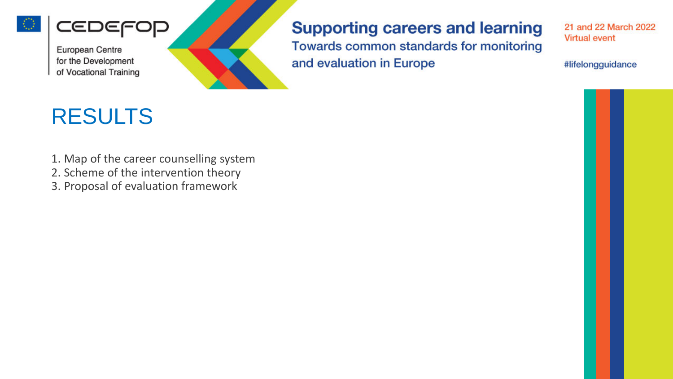



#### **Supporting careers and learning**

Towards common standards for monitoring and evaluation in Europe

21 and 22 March 2022 **Virtual event** 

#lifelongguidance

# RESULTS

- 1. Map of the career counselling system
- 2. Scheme of the intervention theory
- 3. Proposal of evaluation framework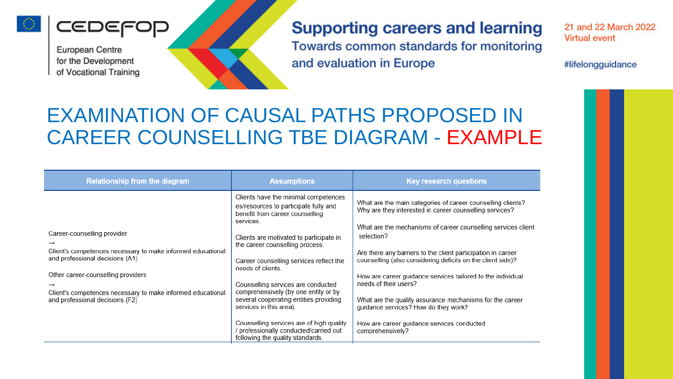

**CEDEFOR** 

#### **Supporting careers and learning** Towards common standards for monitoring and evaluation in Europe

21 and 22 March 2022 **Virtual event** 

#lifelongguidance

#### EXAMINATION OF CAUSAL PATHS PROPOSED IN CAREER COUNSELLING TBE DIAGRAM - EXAMPLE

| <b>Relationship from the diagram</b>                                                                                                                                                                                                                                  | <b>Assumptions</b>                                                                                                                                                                                                                                                                                                                                                                                                                                                                                                                                       | <b>Key research questions</b>                                                                                                                                                                                                                                                                                                                                                                                                                                                                                                                                                                      |
|-----------------------------------------------------------------------------------------------------------------------------------------------------------------------------------------------------------------------------------------------------------------------|----------------------------------------------------------------------------------------------------------------------------------------------------------------------------------------------------------------------------------------------------------------------------------------------------------------------------------------------------------------------------------------------------------------------------------------------------------------------------------------------------------------------------------------------------------|----------------------------------------------------------------------------------------------------------------------------------------------------------------------------------------------------------------------------------------------------------------------------------------------------------------------------------------------------------------------------------------------------------------------------------------------------------------------------------------------------------------------------------------------------------------------------------------------------|
| Career-counselling provider<br>Client's competences necessary to make informed educational<br>and professional decisions (A1)<br>Other career-counselling providers<br>Client's competences necessary to make informed educational<br>and professional decisions (F2) | Clients have the minimal competences<br>es/resources to participate fully and<br>benefit from career counselling<br>services.<br>Clients are motivated to participate in<br>the career counselling process.<br>Career counselling services reflect the<br>needs of clients.<br>Counselling services are conducted<br>comprehensively (by one entity or by<br>several cooperating entities providing<br>services in this area).<br>Counselling services are of high quality<br>/ professionally conducted/carried out<br>following the quality standards. | What are the main categories of career counselling clients?<br>Why are they interested in career counselling services?<br>What are the mechanisms of career counselling services client<br>selection?<br>Are there any barriers to the client participation in career<br>counselling (also considering deficits on the client side)?<br>How are career guidance services tailored to the individual<br>needs of their users?<br>What are the quality assurance mechanisms for the career<br>guidance services? How do they work?<br>How are career guidance services conducted<br>comprehensively? |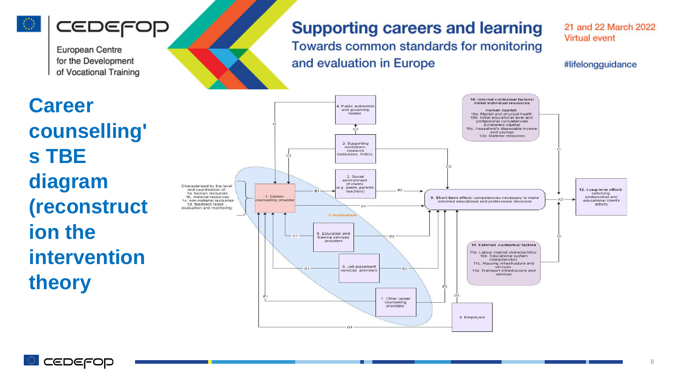

### CEDEF

**European Centre** for the Development of Vocational Training

#### **Supporting careers and learning** Towards common standards for monitoring

and evaluation in Europe

21 and 22 March 2022 **Virtual event** 

#lifelongguidance

**Career counselling' s TBE diagram (reconstruct ion the intervention theory**